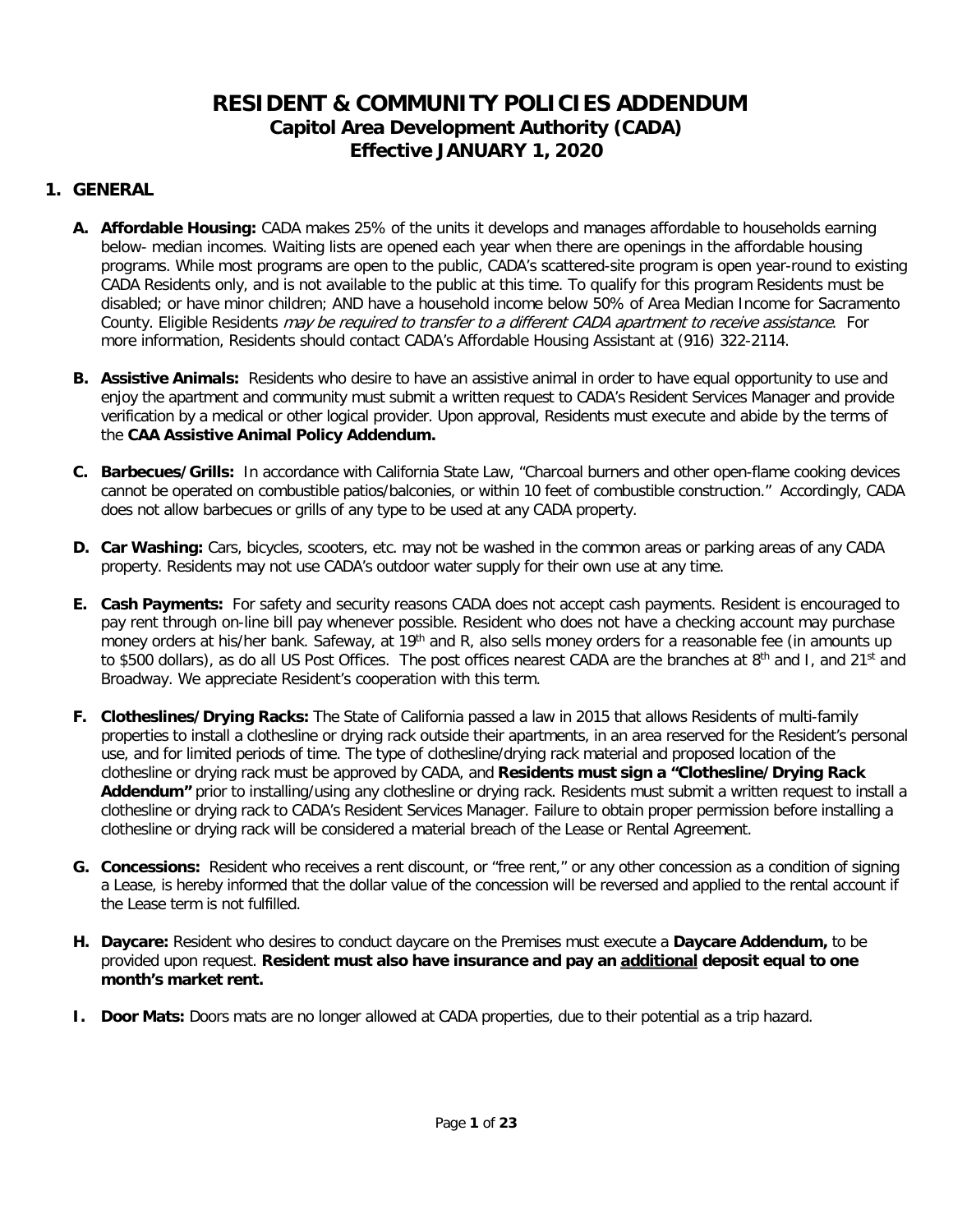# **RESIDENT & COMMUNITY POLICIES ADDENDUM Capitol Area Development Authority (CADA) Effective JANUARY 1, 2020**

## **1. GENERAL**

- **A. Affordable Housing:** CADA makes 25% of the units it develops and manages affordable to households earning below- median incomes. Waiting lists are opened each year when there are openings in the affordable housing programs. While most programs are open to the public, CADA's scattered-site program is open year-round to existing CADA Residents only, and is not available to the public at this time. To qualify for this program Residents must be disabled; or have minor children; AND have a household income below 50% of Area Median Income for Sacramento County. Eligible Residents *may be required to transfer to a different CADA apartment to receive assistance*. For more information, Residents should contact CADA's Affordable Housing Assistant at (916) 322-2114.
- **B. Assistive Animals:** Residents who desire to have an assistive animal in order to have equal opportunity to use and enjoy the apartment and community must submit a written request to CADA's Resident Services Manager and provide verification by a medical or other logical provider. Upon approval, Residents must execute and abide by the terms of the **CAA Assistive Animal Policy Addendum.**
- **C. Barbecues/Grills:** In accordance with California State Law, "Charcoal burners and other open-flame cooking devices cannot be operated on combustible patios/balconies, or within 10 feet of combustible construction." Accordingly, CADA does not allow barbecues or grills of any type to be used at any CADA property.
- **D. Car Washing:** Cars, bicycles, scooters, etc. may not be washed in the common areas or parking areas of any CADA property. Residents may not use CADA's outdoor water supply for their own use at any time.
- **E. Cash Payments:** For safety and security reasons CADA does not accept cash payments. Resident is encouraged to pay rent through on-line bill pay whenever possible. Resident who does not have a checking account may purchase money orders at his/her bank. Safeway, at 19<sup>th</sup> and R, also sells money orders for a reasonable fee (in amounts up to \$500 dollars), as do all US Post Offices. The post offices nearest CADA are the branches at 8<sup>th</sup> and I, and 21<sup>st</sup> and Broadway. We appreciate Resident's cooperation with this term.
- **F. Clotheslines/Drying Racks:** The State of California passed a law in 2015 that allows Residents of multi-family properties to install a clothesline or drying rack outside their apartments, in an area reserved for the Resident's personal use, and for limited periods of time. The type of clothesline/drying rack material and proposed location of the clothesline or drying rack must be approved by CADA, and **Residents must sign a "Clothesline/Drying Rack Addendum"** prior to installing/using any clothesline or drying rack. Residents must submit a written request to install a clothesline or drying rack to CADA's Resident Services Manager. Failure to obtain proper permission before installing a clothesline or drying rack will be considered a material breach of the Lease or Rental Agreement.
- **G. Concessions:** Resident who receives a rent discount, or "free rent," or any other concession as a condition of signing a Lease, is hereby informed that the dollar value of the concession will be reversed and applied to the rental account if the Lease term is not fulfilled.
- **H. Daycare:** Resident who desires to conduct daycare on the Premises must execute a **Daycare Addendum,** to be provided upon request. **Resident must also have insurance and pay an additional deposit equal to one month's market rent.**
- **I. Door Mats:** Doors mats are no longer allowed at CADA properties, due to their potential as a trip hazard.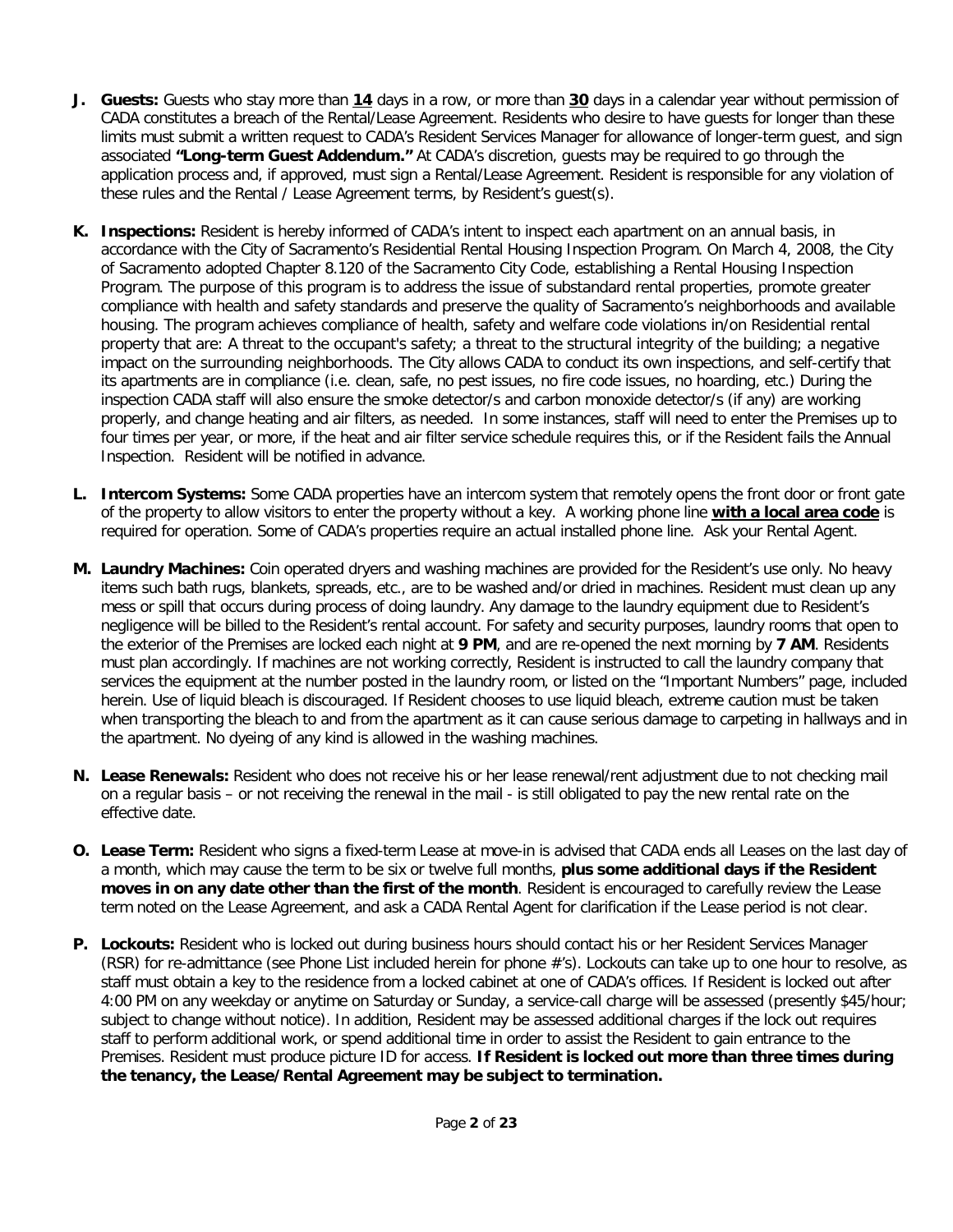- **J. Guests:** Guests who stay more than **14** days in a row, or more than **30** days in a calendar year without permission of CADA constitutes a breach of the Rental/Lease Agreement. Residents who desire to have guests for longer than these limits must submit a written request to CADA's Resident Services Manager for allowance of longer-term guest, and sign associated **"Long-term Guest Addendum."** At CADA's discretion, guests may be required to go through the application process and, if approved, must sign a Rental/Lease Agreement. Resident is responsible for any violation of these rules and the Rental / Lease Agreement terms, by Resident's guest(s).
- **K. Inspections:** Resident is hereby informed of CADA's intent to inspect each apartment on an annual basis, in accordance with the City of Sacramento's Residential Rental Housing Inspection Program. On March 4, 2008, the City of Sacramento adopted Chapter 8.120 of the Sacramento City Code, establishing a Rental Housing Inspection Program. The purpose of this program is to address the issue of substandard rental properties, promote greater compliance with health and safety standards and preserve the quality of Sacramento's neighborhoods and available housing. The program achieves compliance of health, safety and welfare code violations in/on Residential rental property that are: A threat to the occupant's safety; a threat to the structural integrity of the building; a negative impact on the surrounding neighborhoods. The City allows CADA to conduct its own inspections, and self-certify that its apartments are in compliance (i.e. clean, safe, no pest issues, no fire code issues, no hoarding, etc.) During the inspection CADA staff will also ensure the smoke detector/s and carbon monoxide detector/s (if any) are working properly, and change heating and air filters, as needed. In some instances, staff will need to enter the Premises up to four times per year, or more, if the heat and air filter service schedule requires this, or if the Resident fails the Annual Inspection. Resident will be notified in advance.
- **L. Intercom Systems:** Some CADA properties have an intercom system that remotely opens the front door or front gate of the property to allow visitors to enter the property without a key. A working phone line **with a local area code** is required for operation. Some of CADA's properties require an actual installed phone line. Ask your Rental Agent.
- **M. Laundry Machines:** Coin operated dryers and washing machines are provided for the Resident's use only. No heavy items such bath rugs, blankets, spreads, etc., are to be washed and/or dried in machines. Resident must clean up any mess or spill that occurs during process of doing laundry. Any damage to the laundry equipment due to Resident's negligence will be billed to the Resident's rental account. For safety and security purposes, laundry rooms that open to the exterior of the Premises are locked each night at **9 PM**, and are re-opened the next morning by **7 AM**. Residents must plan accordingly. If machines are not working correctly, Resident is instructed to call the laundry company that services the equipment at the number posted in the laundry room, or listed on the "Important Numbers" page, included herein. Use of liquid bleach is discouraged. If Resident chooses to use liquid bleach, extreme caution must be taken when transporting the bleach to and from the apartment as it can cause serious damage to carpeting in hallways and in the apartment. No dyeing of any kind is allowed in the washing machines.
- **N. Lease Renewals:** Resident who does not receive his or her lease renewal/rent adjustment due to not checking mail on a regular basis – or not receiving the renewal in the mail - is still obligated to pay the new rental rate on the effective date.
- **O. Lease Term:** Resident who signs a fixed-term Lease at move-in is advised that CADA ends all Leases on the last day of a month, which may cause the term to be six or twelve full months, **plus some additional days if the Resident moves in on any date other than the first of the month**. Resident is encouraged to carefully review the Lease term noted on the Lease Agreement, and ask a CADA Rental Agent for clarification if the Lease period is not clear.
- **P. Lockouts:** Resident who is locked out during business hours should contact his or her Resident Services Manager (RSR) for re-admittance (see Phone List included herein for phone #'s). Lockouts can take up to one hour to resolve, as staff must obtain a key to the residence from a locked cabinet at one of CADA's offices. If Resident is locked out after 4:00 PM on any weekday or anytime on Saturday or Sunday, a service-call charge will be assessed (presently \$45/hour; subject to change without notice). In addition, Resident may be assessed additional charges if the lock out requires staff to perform additional work, or spend additional time in order to assist the Resident to gain entrance to the Premises. Resident must produce picture ID for access. **If Resident is locked out more than three times during the tenancy, the Lease/Rental Agreement may be subject to termination.**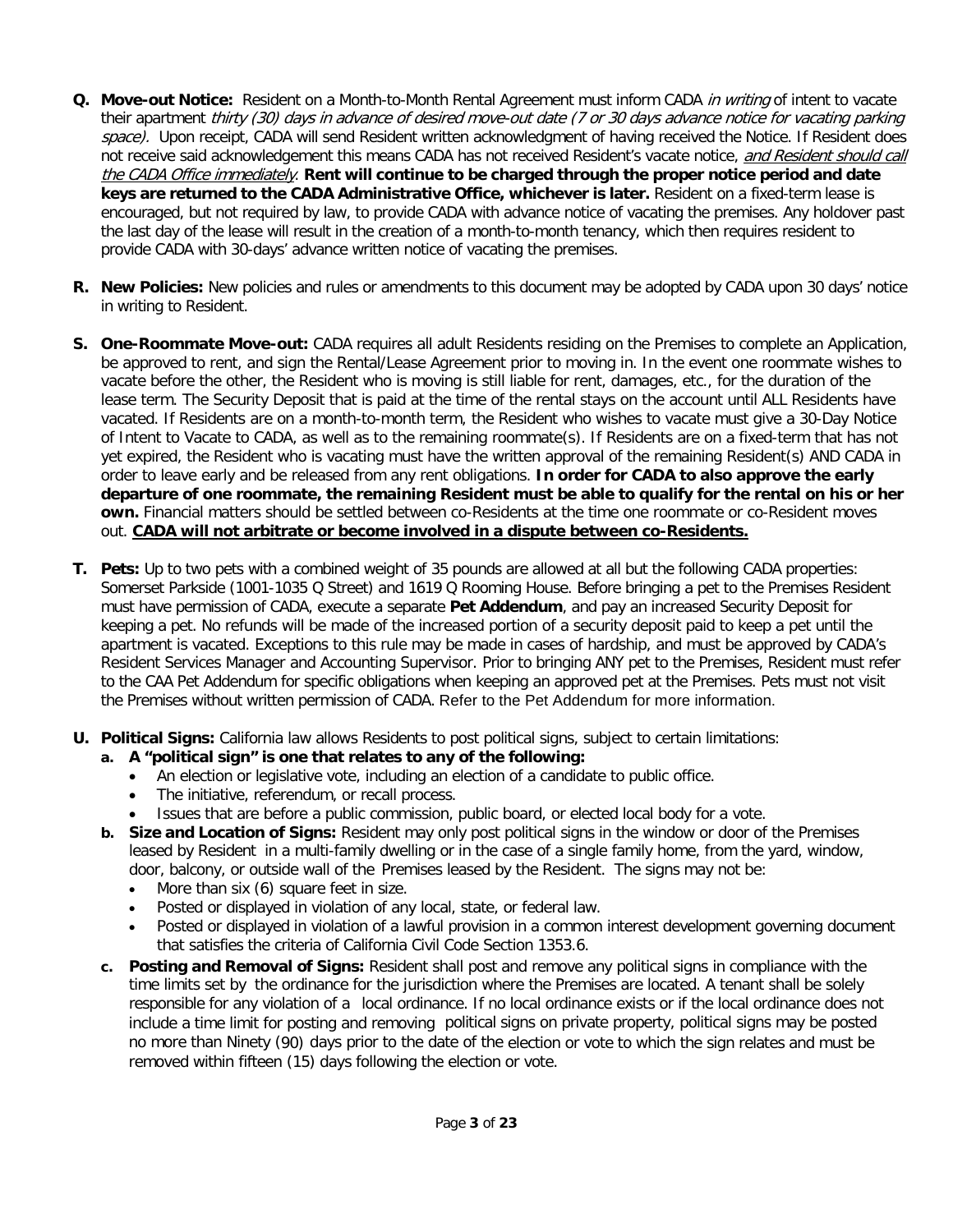- **Q.** Move-out Notice: Resident on a Month-to-Month Rental Agreement must inform CADA in writing of intent to vacate their apartment thirty (30) days in advance of desired move-out date (7 or 30 days advance notice for vacating parking space). Upon receipt, CADA will send Resident written acknowledgment of having received the Notice. If Resident does not receive said acknowledgement this means CADA has not received Resident's vacate notice, and Resident should call the CADA Office immediately. **Rent will continue to be charged through the proper notice period and date keys are returned to the CADA Administrative Office, whichever is later.** Resident on a fixed-term lease is encouraged, but not required by law, to provide CADA with advance notice of vacating the premises. Any holdover past the last day of the lease will result in the creation of a month-to-month tenancy, which then requires resident to provide CADA with 30-days' advance written notice of vacating the premises.
- **R. New Policies:** New policies and rules or amendments to this document may be adopted by CADA upon 30 days' notice in writing to Resident.
- **S. One-Roommate Move-out:** CADA requires all adult Residents residing on the Premises to complete an Application, be approved to rent, and sign the Rental/Lease Agreement prior to moving in. In the event one roommate wishes to vacate before the other, the Resident who is moving is still liable for rent, damages, etc., for the duration of the lease term. The Security Deposit that is paid at the time of the rental stays on the account until ALL Residents have vacated. If Residents are on a month-to-month term, the Resident who wishes to vacate must give a 30-Day Notice of Intent to Vacate to CADA, as well as to the remaining roommate(s). If Residents are on a fixed-term that has not yet expired, the Resident who is vacating must have the written approval of the remaining Resident(s) AND CADA in order to leave early and be released from any rent obligations. **In order for CADA to also approve the early departure of one roommate, the remaining Resident must be able to qualify for the rental on his or her own.** Financial matters should be settled between co-Residents at the time one roommate or co-Resident moves out. **CADA will not arbitrate or become involved in a dispute between co-Residents.**
- **T. Pets:** Up to two pets with a combined weight of 35 pounds are allowed at all but the following CADA properties: Somerset Parkside (1001-1035 Q Street) and 1619 Q Rooming House. Before bringing a pet to the Premises Resident must have permission of CADA, execute a separate **Pet Addendum**, and pay an increased Security Deposit for keeping a pet. No refunds will be made of the increased portion of a security deposit paid to keep a pet until the apartment is vacated. Exceptions to this rule may be made in cases of hardship, and must be approved by CADA's Resident Services Manager and Accounting Supervisor. Prior to bringing ANY pet to the Premises, Resident must refer to the CAA Pet Addendum for specific obligations when keeping an approved pet at the Premises. Pets must not visit the Premises without written permission of CADA. Refer to the Pet Addendum for more information.
- **U. Political Signs:** California law allows Residents to post political signs, subject to certain limitations:
	- **a. A "political sign" is one that relates to any of the following:**
		- An election or legislative vote, including an election of a candidate to public office.
		- The initiative, referendum, or recall process.
		- Issues that are before a public commission, public board, or elected local body for a vote.
	- **b. Size and Location of Signs:** Resident may only post political signs in the window or door of the Premises leased by Resident in a multi-family dwelling or in the case of a single family home, from the yard, window, door, balcony, or outside wall of the Premises leased by the Resident. The signs may not be:
		- More than six (6) square feet in size.
		- Posted or displayed in violation of any local, state, or federal law.
		- Posted or displayed in violation of a lawful provision in a common interest development governing document that satisfies the criteria of California Civil Code Section 1353.6.
	- **c. Posting and Removal of Signs:** Resident shall post and remove any political signs in compliance with the time limits set by the ordinance for the jurisdiction where the Premises are located. A tenant shall be solely responsible for any violation of a local ordinance. If no local ordinance exists or if the local ordinance does not include a time limit for posting and removing political signs on private property, political signs may be posted no more than Ninety (90) days prior to the date of the election or vote to which the sign relates and must be removed within fifteen (15) days following the election or vote.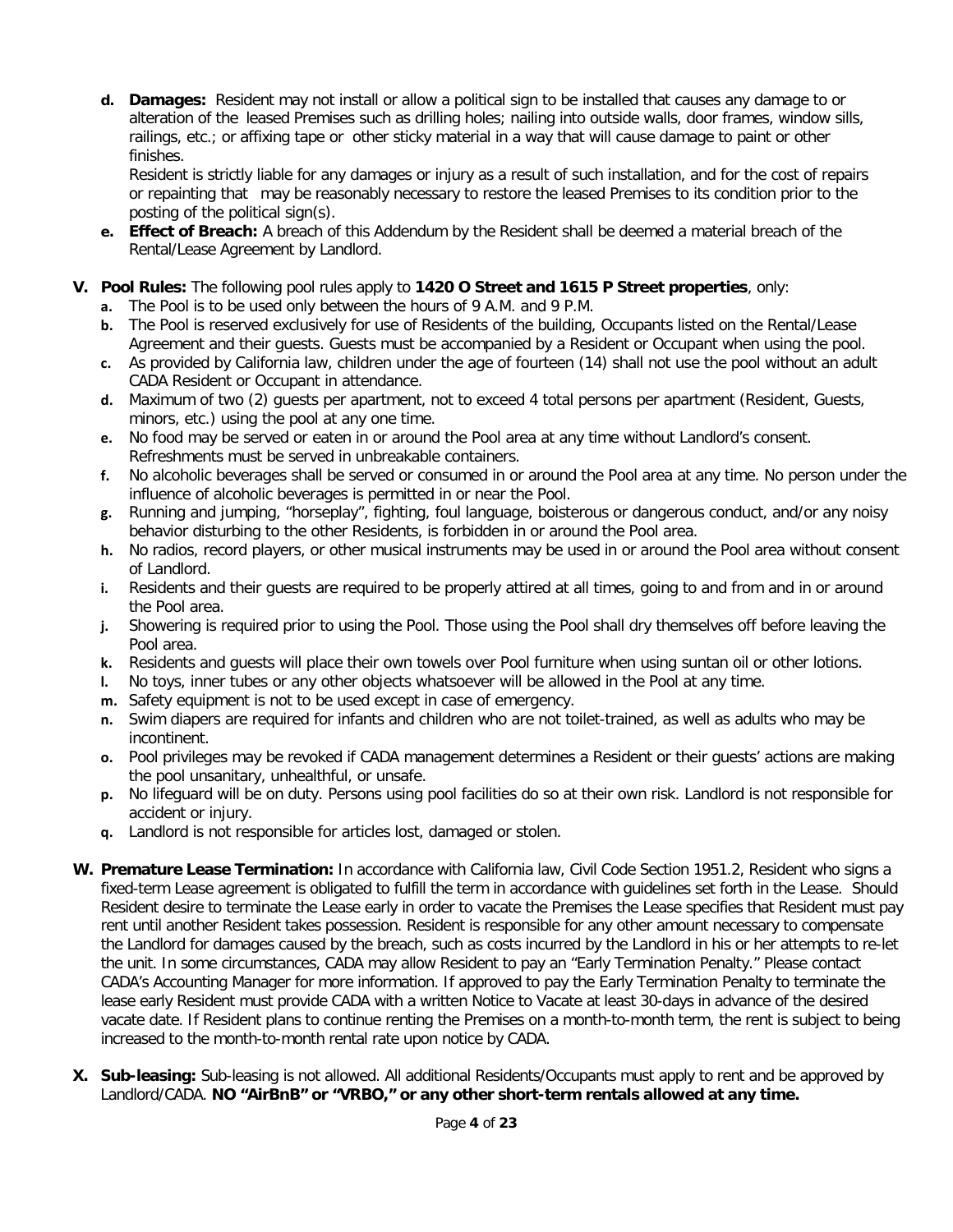**d. Damages:** Resident may not install or allow a political sign to be installed that causes any damage to or alteration of the leased Premises such as drilling holes; nailing into outside walls, door frames, window sills, railings, etc.; or affixing tape or other sticky material in a way that will cause damage to paint or other finishes.

Resident is strictly liable for any damages or injury as a result of such installation, and for the cost of repairs or repainting that may be reasonably necessary to restore the leased Premises to its condition prior to the posting of the political sign(s).

- **e. Effect of Breach:** A breach of this Addendum by the Resident shall be deemed a material breach of the Rental/Lease Agreement by Landlord.
- **V. Pool Rules:** The following pool rules apply to **1420 O Street and 1615 P Street properties**, only:
	- **a.** The Pool is to be used only between the hours of 9 A.M. and 9 P.M.
	- **b.** The Pool is reserved exclusively for use of Residents of the building, Occupants listed on the Rental/Lease Agreement and their guests. Guests must be accompanied by a Resident or Occupant when using the pool.
	- **c.** As provided by California law, children under the age of fourteen (14) shall not use the pool without an adult CADA Resident or Occupant in attendance.
	- **d.** Maximum of two (2) guests per apartment, not to exceed 4 total persons per apartment (Resident, Guests, minors, etc.) using the pool at any one time.
	- **e.** No food may be served or eaten in or around the Pool area at any time without Landlord's consent. Refreshments must be served in unbreakable containers.
	- **f.** No alcoholic beverages shall be served or consumed in or around the Pool area at any time. No person under the influence of alcoholic beverages is permitted in or near the Pool.
	- **g.** Running and jumping, "horseplay", fighting, foul language, boisterous or dangerous conduct, and/or any noisy behavior disturbing to the other Residents, is forbidden in or around the Pool area.
	- **h.** No radios, record players, or other musical instruments may be used in or around the Pool area without consent of Landlord.
	- **i.** Residents and their guests are required to be properly attired at all times, going to and from and in or around the Pool area.
	- **j.** Showering is required prior to using the Pool. Those using the Pool shall dry themselves off before leaving the Pool area.
	- **k.** Residents and guests will place their own towels over Pool furniture when using suntan oil or other lotions.
	- **l.** No toys, inner tubes or any other objects whatsoever will be allowed in the Pool at any time.
	- **m.** Safety equipment is not to be used except in case of emergency.
	- **n.** Swim diapers are required for infants and children who are not toilet-trained, as well as adults who may be incontinent.
	- **o.** Pool privileges may be revoked if CADA management determines a Resident or their guests' actions are making the pool unsanitary, unhealthful, or unsafe.
	- **p.** No lifeguard will be on duty. Persons using pool facilities do so at their own risk. Landlord is not responsible for accident or injury.
	- **q.** Landlord is not responsible for articles lost, damaged or stolen.
- **W. Premature Lease Termination:** In accordance with California law, Civil Code Section 1951.2, Resident who signs a fixed-term Lease agreement is obligated to fulfill the term in accordance with guidelines set forth in the Lease. Should Resident desire to terminate the Lease early in order to vacate the Premises the Lease specifies that Resident must pay rent until another Resident takes possession. Resident is responsible for any other amount necessary to compensate the Landlord for damages caused by the breach, such as costs incurred by the Landlord in his or her attempts to re-let the unit. In some circumstances, CADA may allow Resident to pay an "Early Termination Penalty." Please contact CADA's Accounting Manager for more information. If approved to pay the Early Termination Penalty to terminate the lease early Resident must provide CADA with a written Notice to Vacate at least 30-days in advance of the desired vacate date. If Resident plans to continue renting the Premises on a month-to-month term, the rent is subject to being increased to the month-to-month rental rate upon notice by CADA.
- **X. Sub-leasing:** Sub-leasing is not allowed. All additional Residents/Occupants must apply to rent and be approved by Landlord/CADA. **NO "AirBnB" or "VRBO," or any other short-term rentals allowed at any time.**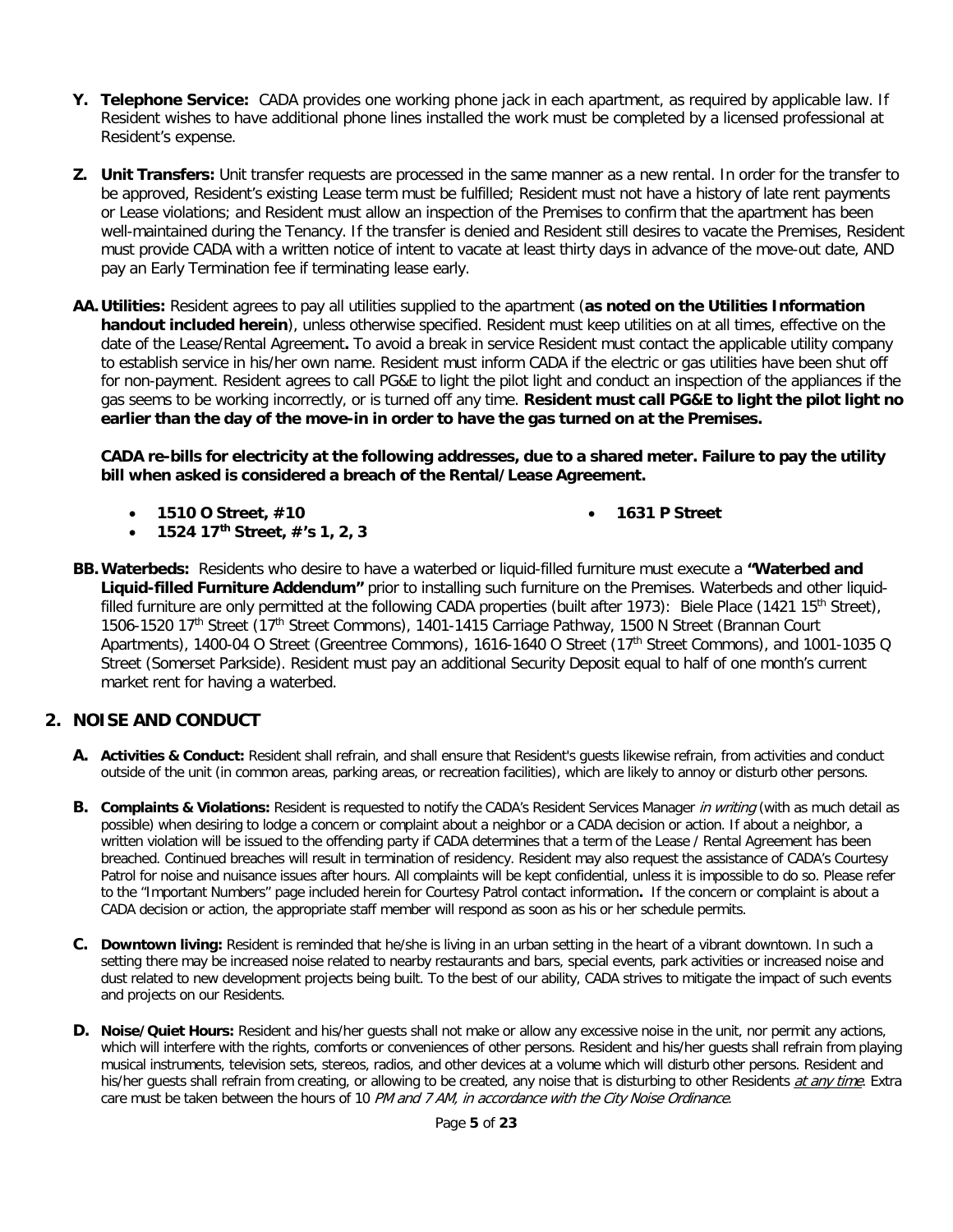- **Y. Telephone Service:** CADA provides one working phone jack in each apartment, as required by applicable law. If Resident wishes to have additional phone lines installed the work must be completed by a licensed professional at Resident's expense.
- **Z. Unit Transfers:** Unit transfer requests are processed in the same manner as a new rental. In order for the transfer to be approved, Resident's existing Lease term must be fulfilled; Resident must not have a history of late rent payments or Lease violations; and Resident must allow an inspection of the Premises to confirm that the apartment has been well-maintained during the Tenancy. If the transfer is denied and Resident still desires to vacate the Premises, Resident must provide CADA with a written notice of intent to vacate at least thirty days in advance of the move-out date, AND pay an Early Termination fee if terminating lease early.
- **AA.Utilities:** Resident agrees to pay all utilities supplied to the apartment (**as noted on the Utilities Information handout included herein**), unless otherwise specified. Resident must keep utilities on at all times, effective on the date of the Lease/Rental Agreement**.** To avoid a break in service Resident must contact the applicable utility company to establish service in his/her own name. Resident must inform CADA if the electric or gas utilities have been shut off for non-payment. Resident agrees to call PG&E to light the pilot light and conduct an inspection of the appliances if the gas seems to be working incorrectly, or is turned off any time. **Resident must call PG&E to light the pilot light no earlier than the day of the move-in in order to have the gas turned on at the Premises.**

**CADA re-bills for electricity at the following addresses, due to a shared meter. Failure to pay the utility bill when asked is considered a breach of the Rental/Lease Agreement.**

• **1510 O Street, #10**

• **1631 P Street**

- **1524 17th Street, #'s 1, 2, 3**
- **BB.Waterbeds:** Residents who desire to have a waterbed or liquid-filled furniture must execute a **"Waterbed and Liquid-filled Furniture Addendum"** prior to installing such furniture on the Premises. Waterbeds and other liquidfilled furniture are only permitted at the following CADA properties (built after 1973): Biele Place (1421 15<sup>th</sup> Street), 1506-1520 17<sup>th</sup> Street (17<sup>th</sup> Street Commons), 1401-1415 Carriage Pathway, 1500 N Street (Brannan Court Apartments), 1400-04 O Street (Greentree Commons), 1616-1640 O Street (17th Street Commons), and 1001-1035 Q Street (Somerset Parkside). Resident must pay an additional Security Deposit equal to half of one month's current market rent for having a waterbed.

## **2. NOISE AND CONDUCT**

- **A. Activities & Conduct:** Resident shall refrain, and shall ensure that Resident's guests likewise refrain, from activities and conduct outside of the unit (in common areas, parking areas, or recreation facilities), which are likely to annoy or disturb other persons.
- **B.** Complaints & Violations: Resident is requested to notify the CADA's Resident Services Manager in writing (with as much detail as possible) when desiring to lodge a concern or complaint about a neighbor or a CADA decision or action. If about a neighbor, a written violation will be issued to the offending party if CADA determines that a term of the Lease / Rental Agreement has been breached. Continued breaches will result in termination of residency. Resident may also request the assistance of CADA's Courtesy Patrol for noise and nuisance issues after hours. All complaints will be kept confidential, unless it is impossible to do so. Please refer to the "Important Numbers" page included herein for Courtesy Patrol contact information**.** If the concern or complaint is about a CADA decision or action, the appropriate staff member will respond as soon as his or her schedule permits.
- **C. Downtown living:** Resident is reminded that he/she is living in an urban setting in the heart of a vibrant downtown. In such a setting there may be increased noise related to nearby restaurants and bars, special events, park activities or increased noise and dust related to new development projects being built. To the best of our ability, CADA strives to mitigate the impact of such events and projects on our Residents.
- **D. Noise/Quiet Hours:** Resident and his/her guests shall not make or allow any excessive noise in the unit, nor permit any actions, which will interfere with the rights, comforts or conveniences of other persons. Resident and his/her guests shall refrain from playing musical instruments, television sets, stereos, radios, and other devices at a volume which will disturb other persons. Resident and his/her guests shall refrain from creating, or allowing to be created, any noise that is disturbing to other Residents at any time. Extra care must be taken between the hours of 10 PM and 7 AM, in accordance with the City Noise Ordinance.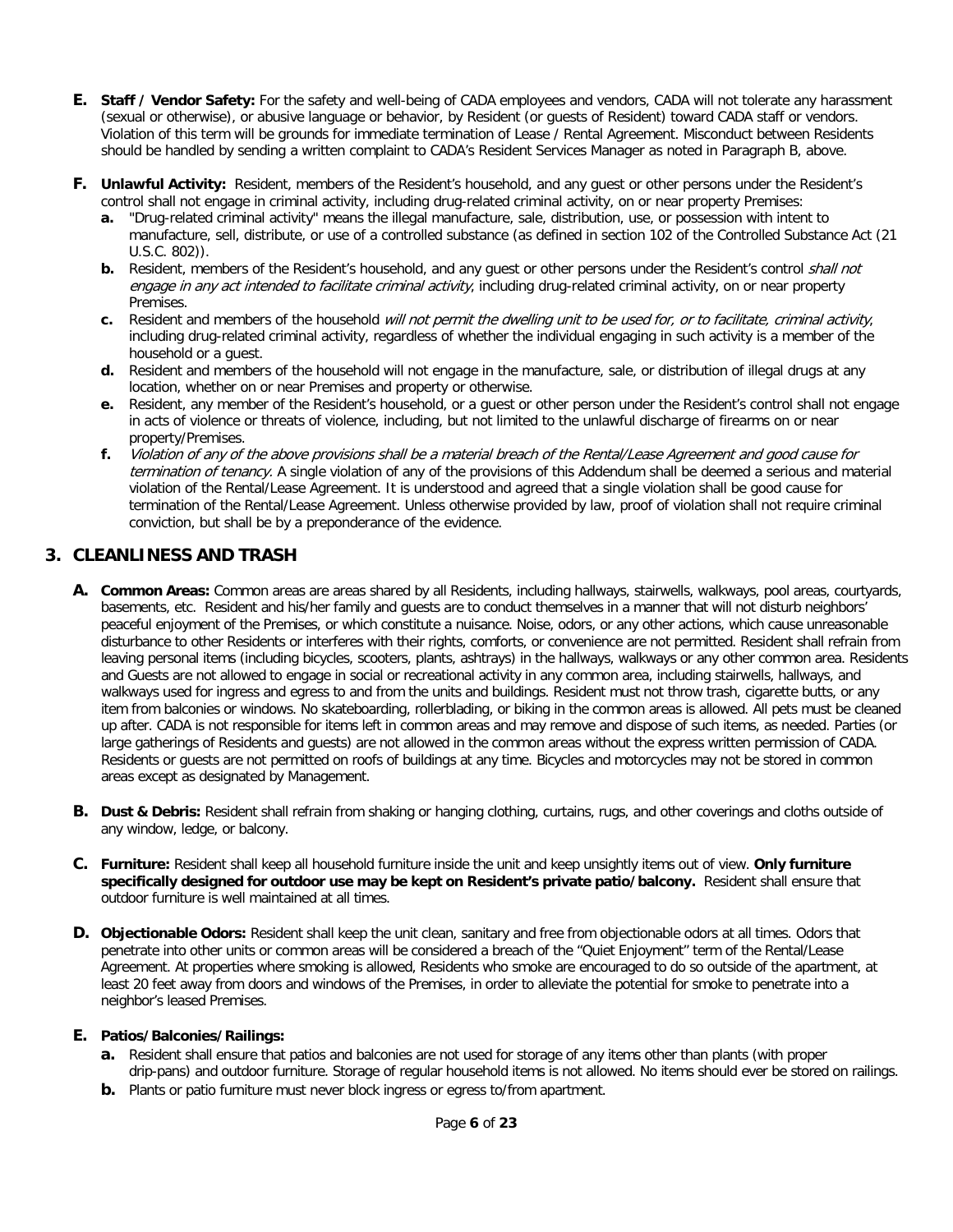- **E. Staff / Vendor Safety:** For the safety and well-being of CADA employees and vendors, CADA will not tolerate any harassment (sexual or otherwise), or abusive language or behavior, by Resident (or guests of Resident) toward CADA staff or vendors. Violation of this term will be grounds for immediate termination of Lease / Rental Agreement. Misconduct between Residents should be handled by sending a written complaint to CADA's Resident Services Manager as noted in Paragraph B, above.
- **F. Unlawful Activity:** Resident, members of the Resident's household, and any guest or other persons under the Resident's control shall not engage in criminal activity, including drug-related criminal activity, on or near property Premises:
	- **a.** "Drug-related criminal activity" means the illegal manufacture, sale, distribution, use, or possession with intent to manufacture, sell, distribute, or use of a controlled substance (as defined in section 102 of the Controlled Substance Act (21 U.S.C. 802)).
	- **b.** Resident, members of the Resident's household, and any guest or other persons under the Resident's control shall not engage in any act intended to facilitate criminal activity, including drug-related criminal activity, on or near property Premises.
	- **c.** Resident and members of the household will not permit the dwelling unit to be used for, or to facilitate, criminal activity, including drug-related criminal activity, regardless of whether the individual engaging in such activity is a member of the household or a guest.
	- **d.** Resident and members of the household will not engage in the manufacture, sale, or distribution of illegal drugs at any location, whether on or near Premises and property or otherwise.
	- **e.** Resident, any member of the Resident's household, or a guest or other person under the Resident's control shall not engage in acts of violence or threats of violence, including, but not limited to the unlawful discharge of firearms on or near property/Premises.
	- **f.** Violation of any of the above provisions shall be a material breach of the Rental/Lease Agreement and good cause for termination of tenancy. A single violation of any of the provisions of this Addendum shall be deemed a serious and material violation of the Rental/Lease Agreement. It is understood and agreed that a single violation shall be good cause for termination of the Rental/Lease Agreement. Unless otherwise provided by law, proof of violation shall not require criminal conviction, but shall be by a preponderance of the evidence.

## **3. CLEANLINESS AND TRASH**

- **A. Common Areas:** Common areas are areas shared by all Residents, including hallways, stairwells, walkways, pool areas, courtyards, basements, etc. Resident and his/her family and guests are to conduct themselves in a manner that will not disturb neighbors' peaceful enjoyment of the Premises, or which constitute a nuisance. Noise, odors, or any other actions, which cause unreasonable disturbance to other Residents or interferes with their rights, comforts, or convenience are not permitted. Resident shall refrain from leaving personal items (including bicycles, scooters, plants, ashtrays) in the hallways, walkways or any other common area. Residents and Guests are not allowed to engage in social or recreational activity in any common area, including stairwells, hallways, and walkways used for ingress and egress to and from the units and buildings. Resident must not throw trash, cigarette butts, or any item from balconies or windows. No skateboarding, rollerblading, or biking in the common areas is allowed. All pets must be cleaned up after. CADA is not responsible for items left in common areas and may remove and dispose of such items, as needed. Parties (or large gatherings of Residents and guests) are not allowed in the common areas without the express written permission of CADA. Residents or guests are not permitted on roofs of buildings at any time. Bicycles and motorcycles may not be stored in common areas except as designated by Management.
- **B. Dust & Debris:** Resident shall refrain from shaking or hanging clothing, curtains, rugs, and other coverings and cloths outside of any window, ledge, or balcony.
- **C. Furniture:** Resident shall keep all household furniture inside the unit and keep unsightly items out of view. **Only furniture specifically designed for outdoor use may be kept on Resident's private patio/balcony.** Resident shall ensure that outdoor furniture is well maintained at all times.
- **D.** Objectionable Odors: Resident shall keep the unit clean, sanitary and free from objectionable odors at all times. Odors that penetrate into other units or common areas will be considered a breach of the "Quiet Enjoyment" term of the Rental/Lease Agreement. At properties where smoking is allowed, Residents who smoke are encouraged to do so outside of the apartment, at least 20 feet away from doors and windows of the Premises, in order to alleviate the potential for smoke to penetrate into a neighbor's leased Premises.

#### **E. Patios/Balconies/Railings:**

- **a.** Resident shall ensure that patios and balconies are not used for storage of any items other than plants (with proper drip-pans) and outdoor furniture. Storage of regular household items is not allowed. No items should ever be stored on railings.
- **b.** Plants or patio furniture must never block ingress or egress to/from apartment.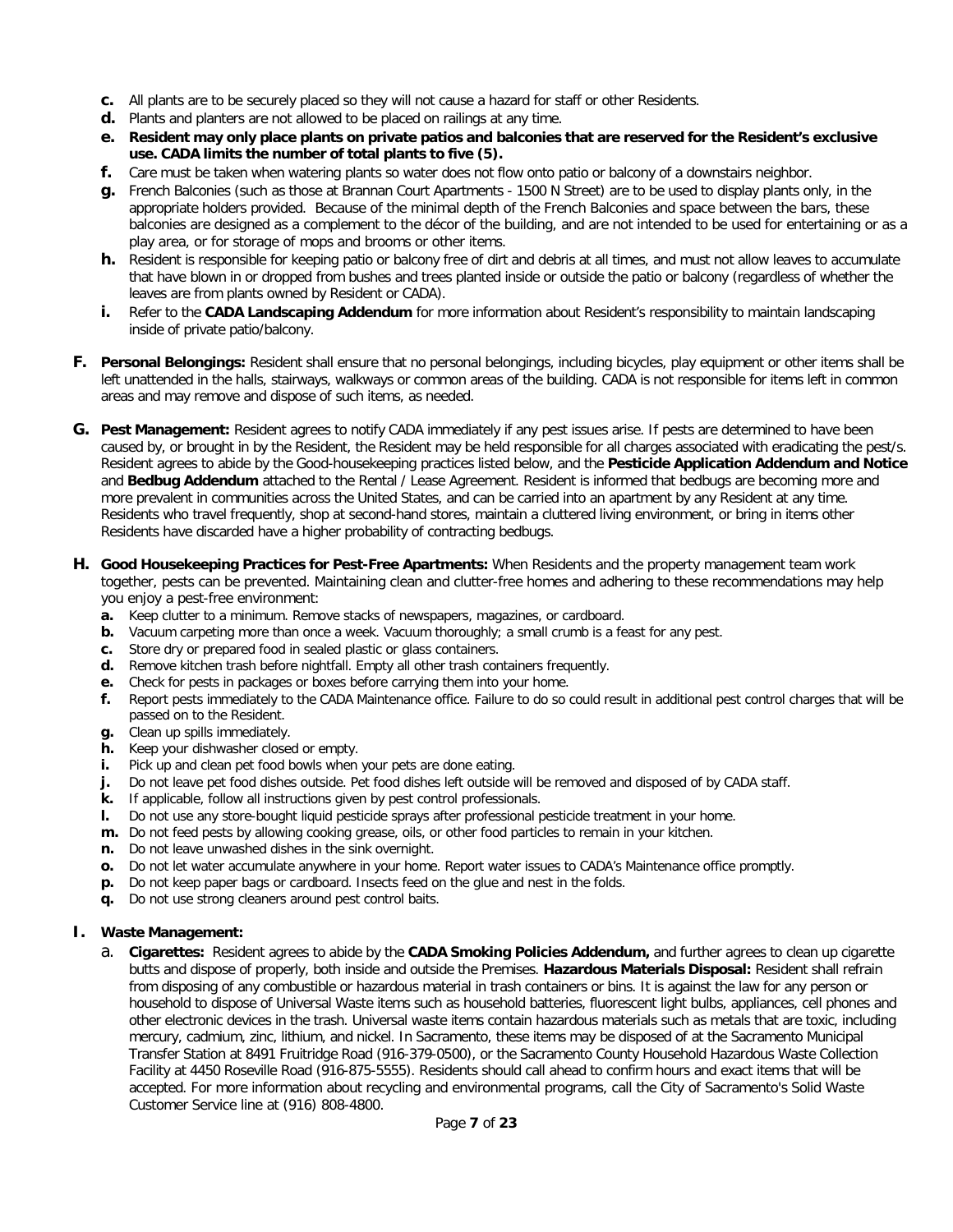- **c.** All plants are to be securely placed so they will not cause a hazard for staff or other Residents.
- **d.** Plants and planters are not allowed to be placed on railings at any time.
- **e. Resident may only place plants on private patios and balconies that are reserved for the Resident's exclusive use. CADA limits the number of total plants to five (5).**
- **f.** Care must be taken when watering plants so water does not flow onto patio or balcony of a downstairs neighbor.
- **g.** French Balconies (such as those at Brannan Court Apartments 1500 N Street) are to be used to display plants only, in the appropriate holders provided. Because of the minimal depth of the French Balconies and space between the bars, these balconies are designed as a complement to the décor of the building, and are not intended to be used for entertaining or as a play area, or for storage of mops and brooms or other items.
- **h.** Resident is responsible for keeping patio or balcony free of dirt and debris at all times, and must not allow leaves to accumulate that have blown in or dropped from bushes and trees planted inside or outside the patio or balcony (regardless of whether the leaves are from plants owned by Resident or CADA).
- **i.** Refer to the **CADA Landscaping Addendum** for more information about Resident's responsibility to maintain landscaping inside of private patio/balcony.
- **F. Personal Belongings:** Resident shall ensure that no personal belongings, including bicycles, play equipment or other items shall be left unattended in the halls, stairways, walkways or common areas of the building. CADA is not responsible for items left in common areas and may remove and dispose of such items, as needed.
- **G. Pest Management:** Resident agrees to notify CADA immediately if any pest issues arise. If pests are determined to have been caused by, or brought in by the Resident, the Resident may be held responsible for all charges associated with eradicating the pest/s. Resident agrees to abide by the Good-housekeeping practices listed below, and the **Pesticide Application Addendum and Notice**  and **Bedbug Addendum** attached to the Rental / Lease Agreement. Resident is informed that bedbugs are becoming more and more prevalent in communities across the United States, and can be carried into an apartment by any Resident at any time. Residents who travel frequently, shop at second-hand stores, maintain a cluttered living environment, or bring in items other Residents have discarded have a higher probability of contracting bedbugs.
- **H. Good Housekeeping Practices for Pest-Free Apartments:** When Residents and the property management team work together, pests can be prevented. Maintaining clean and clutter-free homes and adhering to these recommendations may help you enjoy a pest-free environment:
	- **a.** Keep clutter to a minimum. Remove stacks of newspapers, magazines, or cardboard.
	- **b.** Vacuum carpeting more than once a week. Vacuum thoroughly; a small crumb is a feast for any pest.
	- **c.** Store dry or prepared food in sealed plastic or glass containers.
	- **d.** Remove kitchen trash before nightfall. Empty all other trash containers frequently.
	- **e.** Check for pests in packages or boxes before carrying them into your home.
	- **f.** Report pests immediately to the CADA Maintenance office. Failure to do so could result in additional pest control charges that will be passed on to the Resident.
	- **g.** Clean up spills immediately.
	- **h.** Keep your dishwasher closed or empty.
	- **i.** Pick up and clean pet food bowls when your pets are done eating.
	- **j.** Do not leave pet food dishes outside. Pet food dishes left outside will be removed and disposed of by CADA staff.
	- **k.** If applicable, follow all instructions given by pest control professionals.
	- **l.** Do not use any store-bought liquid pesticide sprays after professional pesticide treatment in your home.
	- **m.** Do not feed pests by allowing cooking grease, oils, or other food particles to remain in your kitchen.
	- **n.** Do not leave unwashed dishes in the sink overnight.
	- **o.** Do not let water accumulate anywhere in your home. Report water issues to CADA's Maintenance office promptly.
	- **p.** Do not keep paper bags or cardboard. Insects feed on the glue and nest in the folds.
	- **q.** Do not use strong cleaners around pest control baits.

#### **I. Waste Management:**

a. **Cigarettes:** Resident agrees to abide by the **CADA Smoking Policies Addendum,** and further agrees to clean up cigarette butts and dispose of properly, both inside and outside the Premises. **Hazardous Materials Disposal:** Resident shall refrain from disposing of any combustible or hazardous material in trash containers or bins. It is against the law for any person or household to dispose of Universal Waste items such as household batteries, fluorescent light bulbs, appliances, cell phones and other electronic devices in the trash. Universal waste items contain hazardous materials such as metals that are toxic, including mercury, cadmium, zinc, lithium, and nickel. In Sacramento, these items may be disposed of at the Sacramento Municipal Transfer Station at 8491 Fruitridge Road (916-379-0500), or the Sacramento County Household Hazardous Waste Collection Facility at 4450 Roseville Road (916-875-5555). Residents should call ahead to confirm hours and exact items that will be accepted. For more information about recycling and environmental programs, call the City of Sacramento's Solid Waste Customer Service line at (916) 808-4800.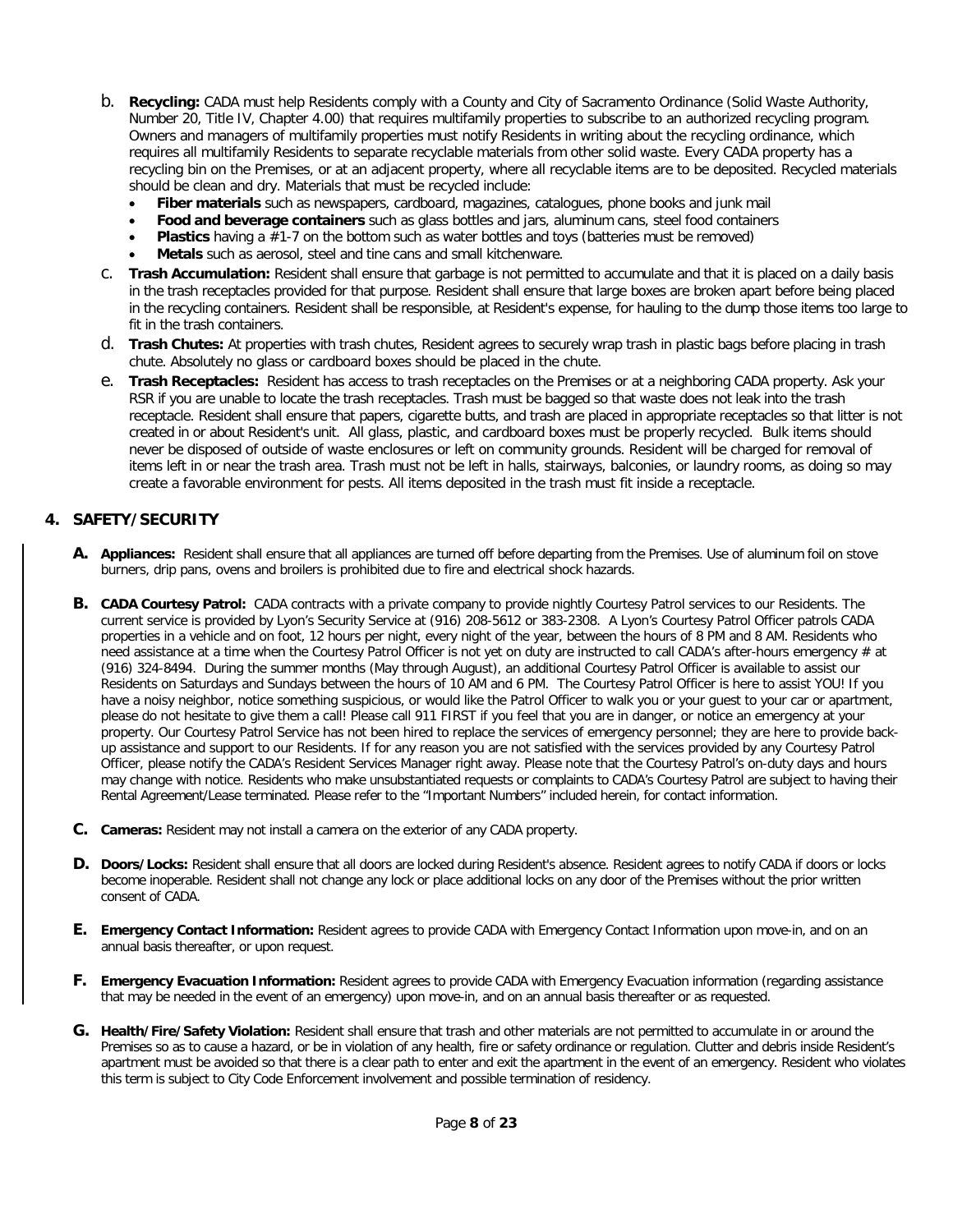- b. **Recycling:** CADA must help Residents comply with a County and City of Sacramento Ordinance (Solid Waste Authority, Number 20, Title IV, Chapter 4.00) that requires multifamily properties to subscribe to an authorized recycling program. Owners and managers of multifamily properties must notify Residents in writing about the recycling ordinance, which requires all multifamily Residents to separate recyclable materials from other solid waste. Every CADA property has a recycling bin on the Premises, or at an adjacent property, where all recyclable items are to be deposited. Recycled materials should be clean and dry. Materials that must be recycled include:
	- **Fiber materials** such as newspapers, cardboard, magazines, catalogues, phone books and junk mail
	- **Food and beverage containers** such as glass bottles and jars, aluminum cans, steel food containers
	- **Plastics** having a #1-7 on the bottom such as water bottles and toys (batteries must be removed)
	- **Metals** such as aerosol, steel and tine cans and small kitchenware.
- c. **Trash Accumulation:** Resident shall ensure that garbage is not permitted to accumulate and that it is placed on a daily basis in the trash receptacles provided for that purpose. Resident shall ensure that large boxes are broken apart before being placed in the recycling containers. Resident shall be responsible, at Resident's expense, for hauling to the dump those items too large to fit in the trash containers.
- d. **Trash Chutes:** At properties with trash chutes, Resident agrees to securely wrap trash in plastic bags before placing in trash chute. Absolutely no glass or cardboard boxes should be placed in the chute.
- e. **Trash Receptacles:** Resident has access to trash receptacles on the Premises or at a neighboring CADA property. Ask your RSR if you are unable to locate the trash receptacles. Trash must be bagged so that waste does not leak into the trash receptacle. Resident shall ensure that papers, cigarette butts, and trash are placed in appropriate receptacles so that litter is not created in or about Resident's unit. All glass, plastic, and cardboard boxes must be properly recycled. Bulk items should never be disposed of outside of waste enclosures or left on community grounds. Resident will be charged for removal of items left in or near the trash area. Trash must not be left in halls, stairways, balconies, or laundry rooms, as doing so may create a favorable environment for pests. All items deposited in the trash must fit inside a receptacle.

## **4. SAFETY/SECURITY**

- **A. Appliances:** Resident shall ensure that all appliances are turned off before departing from the Premises. Use of aluminum foil on stove burners, drip pans, ovens and broilers is prohibited due to fire and electrical shock hazards.
- **B. CADA Courtesy Patrol:** CADA contracts with a private company to provide nightly Courtesy Patrol services to our Residents. The current service is provided by Lyon's Security Service at (916) 208-5612 or 383-2308. A Lyon's Courtesy Patrol Officer patrols CADA properties in a vehicle and on foot, 12 hours per night, every night of the year, between the hours of 8 PM and 8 AM. Residents who need assistance at a time when the Courtesy Patrol Officer is not yet on duty are instructed to call CADA's after-hours emergency # at (916) 324-8494. During the summer months (May through August), an additional Courtesy Patrol Officer is available to assist our Residents on Saturdays and Sundays between the hours of 10 AM and 6 PM. The Courtesy Patrol Officer is here to assist YOU! If you have a noisy neighbor, notice something suspicious, or would like the Patrol Officer to walk you or your guest to your car or apartment, please do not hesitate to give them a call! Please call 911 FIRST if you feel that you are in danger, or notice an emergency at your property. Our Courtesy Patrol Service has not been hired to replace the services of emergency personnel; they are here to provide backup assistance and support to our Residents. If for any reason you are not satisfied with the services provided by any Courtesy Patrol Officer, please notify the CADA's Resident Services Manager right away. Please note that the Courtesy Patrol's on-duty days and hours may change with notice. Residents who make unsubstantiated requests or complaints to CADA's Courtesy Patrol are subject to having their Rental Agreement/Lease terminated. Please refer to the "Important Numbers" included herein, for contact information.
- **C. Cameras:** Resident may not install a camera on the exterior of any CADA property.
- **D. Doors/Locks:** Resident shall ensure that all doors are locked during Resident's absence. Resident agrees to notify CADA if doors or locks become inoperable. Resident shall not change any lock or place additional locks on any door of the Premises without the prior written consent of CADA.
- **E. Emergency Contact Information:** Resident agrees to provide CADA with Emergency Contact Information upon move-in, and on an annual basis thereafter, or upon request.
- **F. Emergency Evacuation Information:** Resident agrees to provide CADA with Emergency Evacuation information (regarding assistance that may be needed in the event of an emergency) upon move-in, and on an annual basis thereafter or as requested.
- **G. Health/Fire/Safety Violation:** Resident shall ensure that trash and other materials are not permitted to accumulate in or around the Premises so as to cause a hazard, or be in violation of any health, fire or safety ordinance or regulation. Clutter and debris inside Resident's apartment must be avoided so that there is a clear path to enter and exit the apartment in the event of an emergency. Resident who violates this term is subject to City Code Enforcement involvement and possible termination of residency.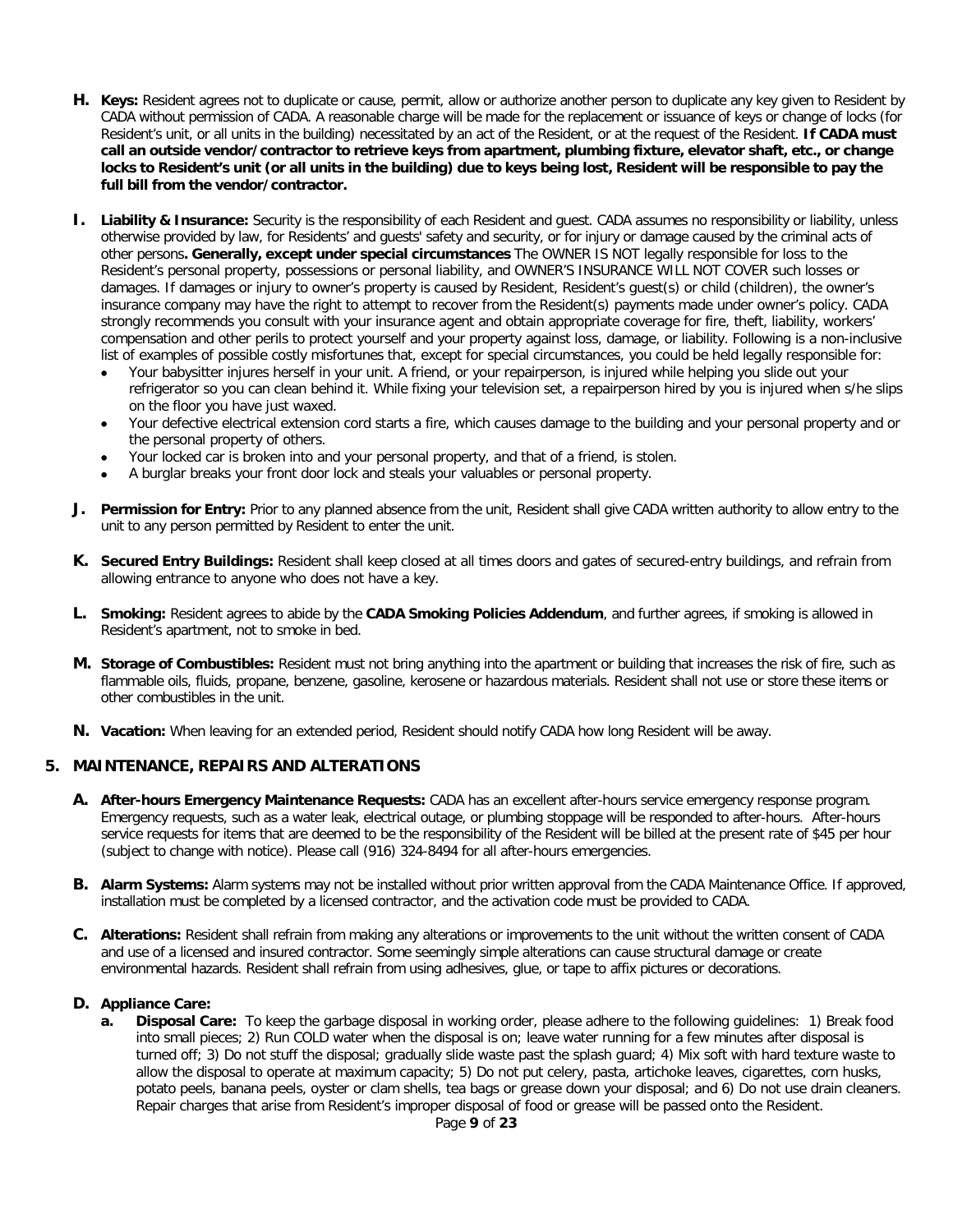- **H. Keys:** Resident agrees not to duplicate or cause, permit, allow or authorize another person to duplicate any key given to Resident by CADA without permission of CADA. A reasonable charge will be made for the replacement or issuance of keys or change of locks (for Resident's unit, or all units in the building) necessitated by an act of the Resident, or at the request of the Resident. **If CADA must call an outside vendor/contractor to retrieve keys from apartment, plumbing fixture, elevator shaft, etc., or change locks to Resident's unit (or all units in the building) due to keys being lost, Resident will be responsible to pay the full bill from the vendor/contractor.**
- **I. Liability & Insurance:** Security is the responsibility of each Resident and guest. CADA assumes no responsibility or liability, unless otherwise provided by law, for Residents' and guests' safety and security, or for injury or damage caused by the criminal acts of other persons**. Generally, except under special circumstances** The OWNER IS NOT legally responsible for loss to the Resident's personal property, possessions or personal liability, and OWNER'S INSURANCE WILL NOT COVER such losses or damages. If damages or injury to owner's property is caused by Resident, Resident's guest(s) or child (children), the owner's insurance company may have the right to attempt to recover from the Resident(s) payments made under owner's policy. CADA strongly recommends you consult with your insurance agent and obtain appropriate coverage for fire, theft, liability, workers' compensation and other perils to protect yourself and your property against loss, damage, or liability. Following is a non-inclusive list of examples of possible costly misfortunes that, except for special circumstances, you could be held legally responsible for:
	- Your babysitter injures herself in your unit. A friend, or your repairperson, is injured while helping you slide out your refrigerator so you can clean behind it. While fixing your television set, a repairperson hired by you is injured when s/he slips on the floor you have just waxed.
	- Your defective electrical extension cord starts a fire, which causes damage to the building and your personal property and or the personal property of others.
	- Your locked car is broken into and your personal property, and that of a friend, is stolen.
	- A burglar breaks your front door lock and steals your valuables or personal property.
- **J. Permission for Entry:** Prior to any planned absence from the unit, Resident shall give CADA written authority to allow entry to the unit to any person permitted by Resident to enter the unit.
- **K. Secured Entry Buildings:** Resident shall keep closed at all times doors and gates of secured-entry buildings, and refrain from allowing entrance to anyone who does not have a key.
- **L. Smoking:** Resident agrees to abide by the **CADA Smoking Policies Addendum**, and further agrees, if smoking is allowed in Resident's apartment, not to smoke in bed.
- **M. Storage of Combustibles:** Resident must not bring anything into the apartment or building that increases the risk of fire, such as flammable oils, fluids, propane, benzene, gasoline, kerosene or hazardous materials. Resident shall not use or store these items or other combustibles in the unit.
- **N. Vacation:** When leaving for an extended period, Resident should notify CADA how long Resident will be away.

#### **5. MAINTENANCE, REPAIRS AND ALTERATIONS**

- **A. After-hours Emergency Maintenance Requests:** CADA has an excellent after-hours service emergency response program. Emergency requests, such as a water leak, electrical outage, or plumbing stoppage will be responded to after-hours. After-hours service requests for items that are deemed to be the responsibility of the Resident will be billed at the present rate of \$45 per hour (subject to change with notice). Please call (916) 324-8494 for all after-hours emergencies.
- **B. Alarm Systems:** Alarm systems may not be installed without prior written approval from the CADA Maintenance Office. If approved, installation must be completed by a licensed contractor, and the activation code must be provided to CADA.
- **C. Alterations:** Resident shall refrain from making any alterations or improvements to the unit without the written consent of CADA and use of a licensed and insured contractor. Some seemingly simple alterations can cause structural damage or create environmental hazards. Resident shall refrain from using adhesives, glue, or tape to affix pictures or decorations.

#### **D. Appliance Care:**

**a. Disposal Care:** To keep the garbage disposal in working order, please adhere to the following guidelines: 1) Break food into small pieces; 2) Run COLD water when the disposal is on; leave water running for a few minutes after disposal is turned off; 3) Do not stuff the disposal; gradually slide waste past the splash guard; 4) Mix soft with hard texture waste to allow the disposal to operate at maximum capacity; 5) Do not put celery, pasta, artichoke leaves, cigarettes, corn husks, potato peels, banana peels, oyster or clam shells, tea bags or grease down your disposal; and 6) Do not use drain cleaners. Repair charges that arise from Resident's improper disposal of food or grease will be passed onto the Resident.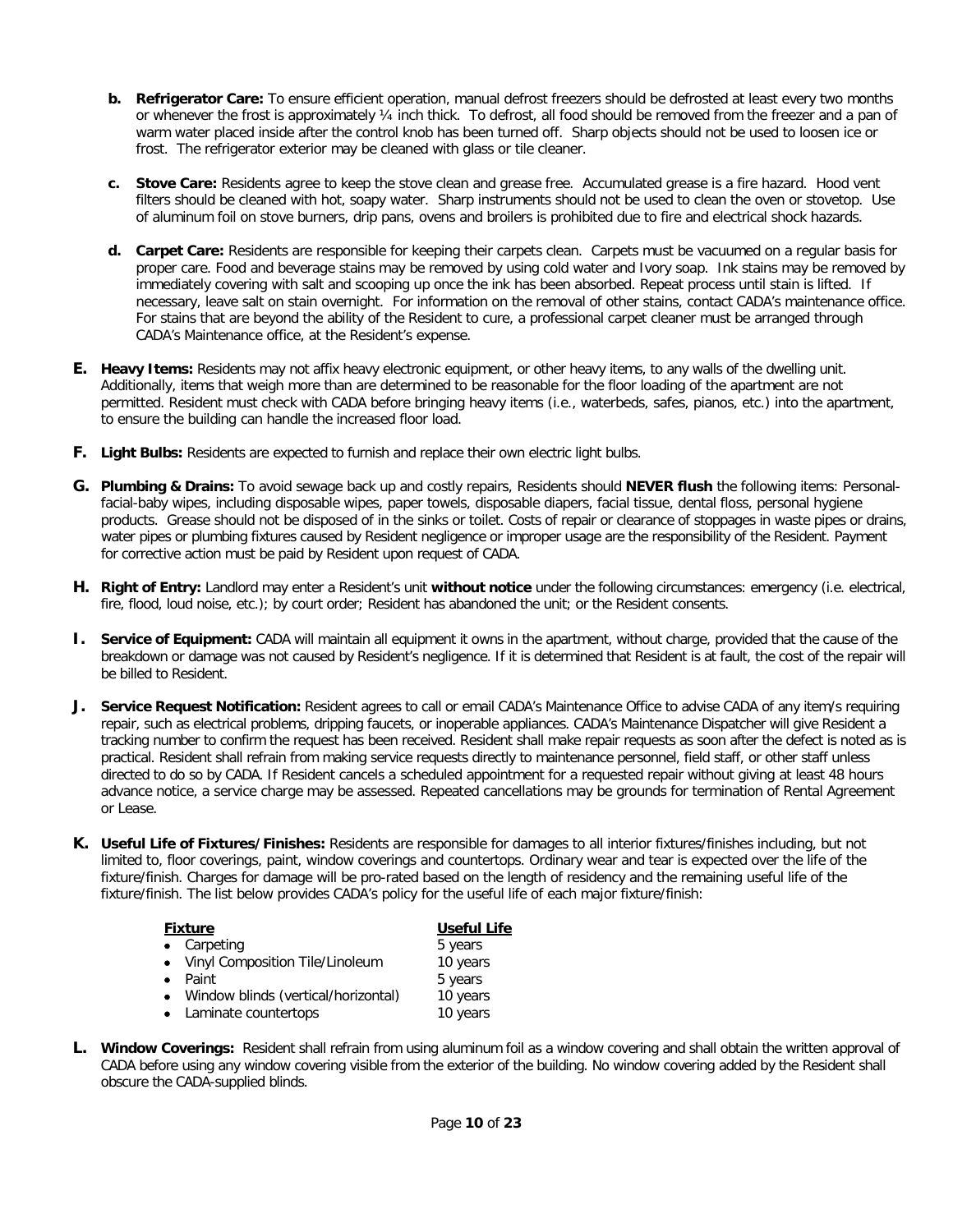- **b. Refrigerator Care:** To ensure efficient operation, manual defrost freezers should be defrosted at least every two months or whenever the frost is approximately ¼ inch thick. To defrost, all food should be removed from the freezer and a pan of warm water placed inside after the control knob has been turned off. Sharp objects should not be used to loosen ice or frost. The refrigerator exterior may be cleaned with glass or tile cleaner.
- **c. Stove Care:** Residents agree to keep the stove clean and grease free. Accumulated grease is a fire hazard. Hood vent filters should be cleaned with hot, soapy water. Sharp instruments should not be used to clean the oven or stovetop. Use of aluminum foil on stove burners, drip pans, ovens and broilers is prohibited due to fire and electrical shock hazards.
- **d. Carpet Care:** Residents are responsible for keeping their carpets clean. Carpets must be vacuumed on a regular basis for proper care. Food and beverage stains may be removed by using cold water and Ivory soap. Ink stains may be removed by immediately covering with salt and scooping up once the ink has been absorbed. Repeat process until stain is lifted. If necessary, leave salt on stain overnight. For information on the removal of other stains, contact CADA's maintenance office. For stains that are beyond the ability of the Resident to cure, a professional carpet cleaner must be arranged through CADA's Maintenance office, at the Resident's expense.
- **E. Heavy Items:** Residents may not affix heavy electronic equipment, or other heavy items, to any walls of the dwelling unit. Additionally, items that weigh more than are determined to be reasonable for the floor loading of the apartment are not permitted. Resident must check with CADA before bringing heavy items (i.e., waterbeds, safes, pianos, etc.) into the apartment, to ensure the building can handle the increased floor load.
- **F. Light Bulbs:** Residents are expected to furnish and replace their own electric light bulbs.
- **G. Plumbing & Drains:** To avoid sewage back up and costly repairs, Residents should **NEVER flush** the following items: Personalfacial-baby wipes, including disposable wipes, paper towels, disposable diapers, facial tissue, dental floss, personal hygiene products. Grease should not be disposed of in the sinks or toilet. Costs of repair or clearance of stoppages in waste pipes or drains, water pipes or plumbing fixtures caused by Resident negligence or improper usage are the responsibility of the Resident. Payment for corrective action must be paid by Resident upon request of CADA.
- **H. Right of Entry:** Landlord may enter a Resident's unit **without notice** under the following circumstances: emergency (i.e. electrical, fire, flood, loud noise, etc.); by court order; Resident has abandoned the unit; or the Resident consents.
- **I. Service of Equipment:** CADA will maintain all equipment it owns in the apartment, without charge, provided that the cause of the breakdown or damage was not caused by Resident's negligence. If it is determined that Resident is at fault, the cost of the repair will be billed to Resident.
- **J. Service Request Notification:** Resident agrees to call or email CADA's Maintenance Office to advise CADA of any item/s requiring repair, such as electrical problems, dripping faucets, or inoperable appliances. CADA's Maintenance Dispatcher will give Resident a tracking number to confirm the request has been received. Resident shall make repair requests as soon after the defect is noted as is practical. Resident shall refrain from making service requests directly to maintenance personnel, field staff, or other staff unless directed to do so by CADA. If Resident cancels a scheduled appointment for a requested repair without giving at least 48 hours advance notice, a service charge may be assessed. Repeated cancellations may be grounds for termination of Rental Agreement or Lease.
- **K. Useful Life of Fixtures/Finishes:** Residents are responsible for damages to all interior fixtures/finishes including, but not limited to, floor coverings, paint, window coverings and countertops. Ordinary wear and tear is expected over the life of the fixture/finish. Charges for damage will be pro-rated based on the length of residency and the remaining useful life of the fixture/finish. The list below provides CADA's policy for the useful life of each major fixture/finish:

| <b>Fixture</b> |                                     | <b>Useful Life</b> |
|----------------|-------------------------------------|--------------------|
|                | • Carpeting                         | 5 years            |
|                | • Vinyl Composition Tile/Linoleum   | 10 years           |
|                | Paint                               | 5 years            |
|                | Window blinds (vertical/horizontal) | 10 years           |
|                | • Laminate countertops              | 10 years           |

**L. Window Coverings:** Resident shall refrain from using aluminum foil as a window covering and shall obtain the written approval of CADA before using any window covering visible from the exterior of the building. No window covering added by the Resident shall obscure the CADA-supplied blinds.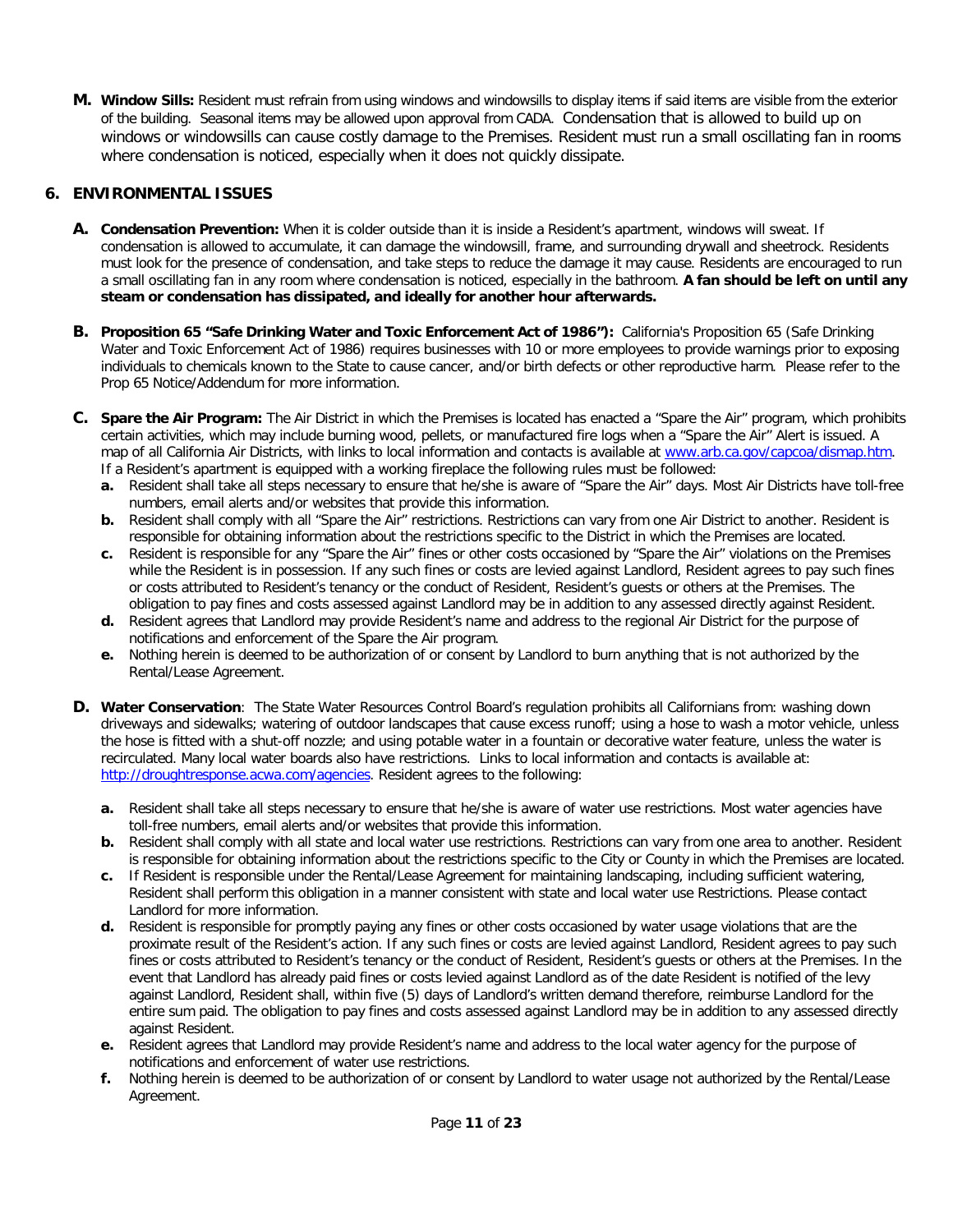**M. Window Sills:** Resident must refrain from using windows and windowsills to display items if said items are visible from the exterior of the building. Seasonal items may be allowed upon approval from CADA. Condensation that is allowed to build up on windows or windowsills can cause costly damage to the Premises. Resident must run a small oscillating fan in rooms where condensation is noticed, especially when it does not quickly dissipate.

## **6. ENVIRONMENTAL ISSUES**

- **A. Condensation Prevention:** When it is colder outside than it is inside a Resident's apartment, windows will sweat. If condensation is allowed to accumulate, it can damage the windowsill, frame, and surrounding drywall and sheetrock. Residents must look for the presence of condensation, and take steps to reduce the damage it may cause. Residents are encouraged to run a small oscillating fan in any room where condensation is noticed, especially in the bathroom. **A fan should be left on until any steam or condensation has dissipated, and ideally for another hour afterwards.**
- **B. Proposition 65 "Safe Drinking Water and Toxic Enforcement Act of 1986"):** California's Proposition 65 (Safe Drinking Water and Toxic Enforcement Act of 1986) requires businesses with 10 or more employees to provide warnings prior to exposing individuals to chemicals known to the State to cause cancer, and/or birth defects or other reproductive harm. Please refer to the Prop 65 Notice/Addendum for more information.
- **C. Spare the Air Program:** The Air District in which the Premises is located has enacted a "Spare the Air" program, which prohibits certain activities, which may include burning wood, pellets, or manufactured fire logs when a "Spare the Air" Alert is issued. A map of all California Air Districts, with links to local information and contacts is available at [www.arb.ca.gov/capcoa/dismap.htm.](http://www.arb.ca.gov/capcoa/dismap.htm) If a Resident's apartment is equipped with a working fireplace the following rules must be followed:
	- **a.** Resident shall take all steps necessary to ensure that he/she is aware of "Spare the Air" days. Most Air Districts have toll-free numbers, email alerts and/or websites that provide this information.
	- **b.** Resident shall comply with all "Spare the Air" restrictions. Restrictions can vary from one Air District to another. Resident is responsible for obtaining information about the restrictions specific to the District in which the Premises are located.
	- **c.** Resident is responsible for any "Spare the Air" fines or other costs occasioned by "Spare the Air" violations on the Premises while the Resident is in possession. If any such fines or costs are levied against Landlord, Resident agrees to pay such fines or costs attributed to Resident's tenancy or the conduct of Resident, Resident's guests or others at the Premises. The obligation to pay fines and costs assessed against Landlord may be in addition to any assessed directly against Resident.
	- **d.** Resident agrees that Landlord may provide Resident's name and address to the regional Air District for the purpose of notifications and enforcement of the Spare the Air program.
	- **e.** Nothing herein is deemed to be authorization of or consent by Landlord to burn anything that is not authorized by the Rental/Lease Agreement.
- **D. Water Conservation**: The State Water Resources Control Board's regulation prohibits all Californians from: washing down driveways and sidewalks; watering of outdoor landscapes that cause excess runoff; using a hose to wash a motor vehicle, unless the hose is fitted with a shut-off nozzle; and using potable water in a fountain or decorative water feature, unless the water is recirculated. Many local water boards also have restrictions. Links to local information and contacts is available at: [http://droughtresponse.acwa.com/agencies.](http://droughtresponse.acwa.com/agencies) Resident agrees to the following:
	- **a.** Resident shall take all steps necessary to ensure that he/she is aware of water use restrictions. Most water agencies have toll-free numbers, email alerts and/or websites that provide this information.
	- **b.** Resident shall comply with all state and local water use restrictions. Restrictions can vary from one area to another. Resident is responsible for obtaining information about the restrictions specific to the City or County in which the Premises are located.
	- **c.** If Resident is responsible under the Rental/Lease Agreement for maintaining landscaping, including sufficient watering, Resident shall perform this obligation in a manner consistent with state and local water use Restrictions. Please contact Landlord for more information.
	- **d.** Resident is responsible for promptly paying any fines or other costs occasioned by water usage violations that are the proximate result of the Resident's action. If any such fines or costs are levied against Landlord, Resident agrees to pay such fines or costs attributed to Resident's tenancy or the conduct of Resident, Resident's guests or others at the Premises. In the event that Landlord has already paid fines or costs levied against Landlord as of the date Resident is notified of the levy against Landlord, Resident shall, within five (5) days of Landlord's written demand therefore, reimburse Landlord for the entire sum paid. The obligation to pay fines and costs assessed against Landlord may be in addition to any assessed directly against Resident.
	- **e.** Resident agrees that Landlord may provide Resident's name and address to the local water agency for the purpose of notifications and enforcement of water use restrictions.
	- **f.** Nothing herein is deemed to be authorization of or consent by Landlord to water usage not authorized by the Rental/Lease Agreement.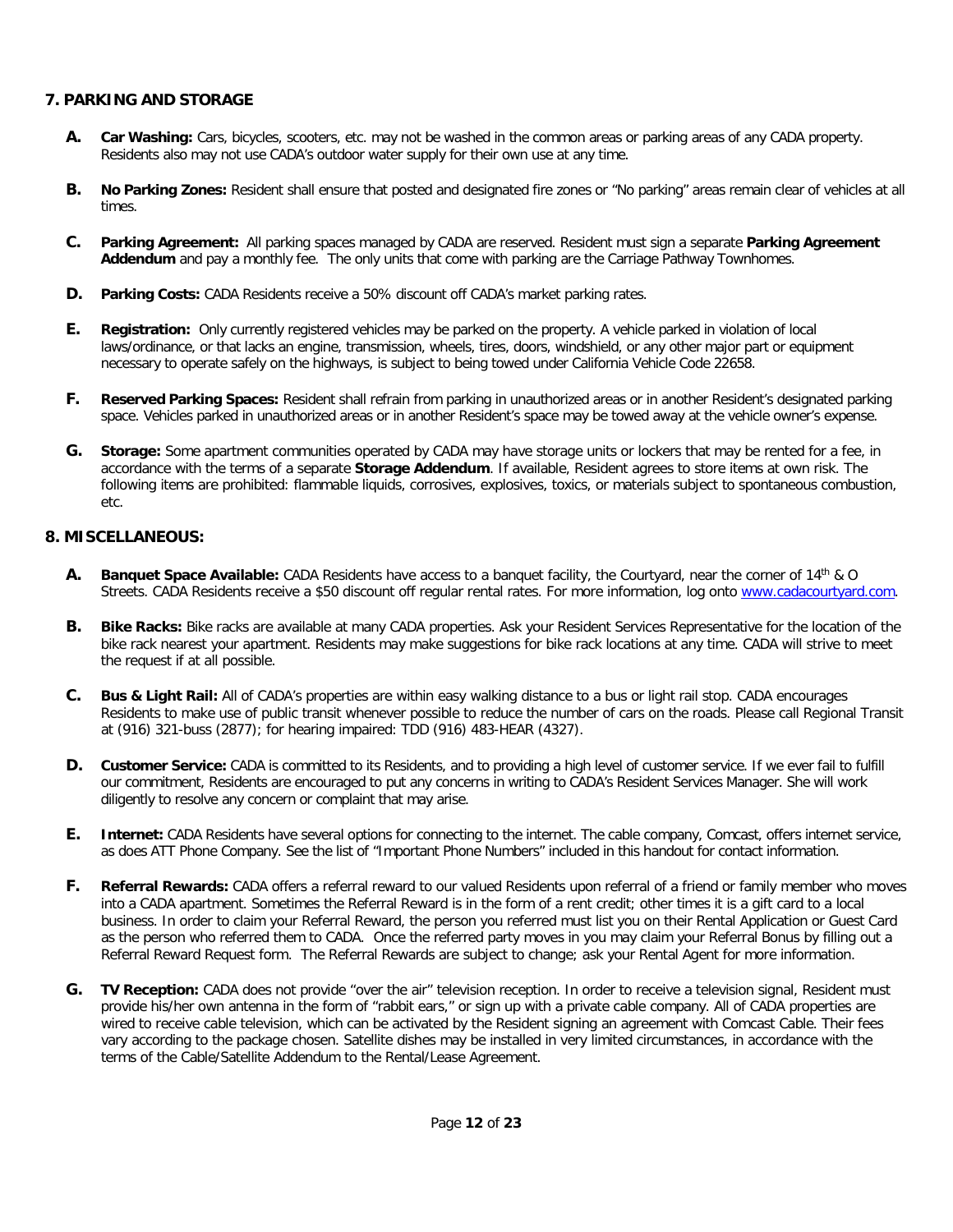## **7. PARKING AND STORAGE**

- **A. Car Washing:** Cars, bicycles, scooters, etc. may not be washed in the common areas or parking areas of any CADA property. Residents also may not use CADA's outdoor water supply for their own use at any time.
- **B. No Parking Zones:** Resident shall ensure that posted and designated fire zones or "No parking" areas remain clear of vehicles at all times.
- **C. Parking Agreement:** All parking spaces managed by CADA are reserved. Resident must sign a separate **Parking Agreement Addendum** and pay a monthly fee. The only units that come with parking are the Carriage Pathway Townhomes.
- **D. Parking Costs:** CADA Residents receive a 50% discount off CADA's market parking rates.
- **E. Registration:** Only currently registered vehicles may be parked on the property. A vehicle parked in violation of local laws/ordinance, or that lacks an engine, transmission, wheels, tires, doors, windshield, or any other major part or equipment necessary to operate safely on the highways, is subject to being towed under California Vehicle Code 22658.
- **F. Reserved Parking Spaces:** Resident shall refrain from parking in unauthorized areas or in another Resident's designated parking space. Vehicles parked in unauthorized areas or in another Resident's space may be towed away at the vehicle owner's expense.
- **G. Storage:** Some apartment communities operated by CADA may have storage units or lockers that may be rented for a fee, in accordance with the terms of a separate **Storage Addendum**. If available, Resident agrees to store items at own risk. The following items are prohibited: flammable liquids, corrosives, explosives, toxics, or materials subject to spontaneous combustion, etc.

#### **8. MISCELLANEOUS:**

- **A. Banquet Space Available:** CADA Residents have access to a banquet facility, the Courtyard, near the corner of 14th & O Streets. CADA Residents receive a \$50 discount off regular rental rates. For more information, log onto [www.cadacourtyard.com.](http://www.cadacourtyard.com/)
- **B. Bike Racks:** Bike racks are available at many CADA properties. Ask your Resident Services Representative for the location of the bike rack nearest your apartment. Residents may make suggestions for bike rack locations at any time. CADA will strive to meet the request if at all possible.
- **C. Bus & Light Rail:** All of CADA's properties are within easy walking distance to a bus or light rail stop. CADA encourages Residents to make use of public transit whenever possible to reduce the number of cars on the roads. Please call Regional Transit at (916) 321-buss (2877); for hearing impaired: TDD (916) 483-HEAR (4327).
- **D. Customer Service:** CADA is committed to its Residents, and to providing a high level of customer service. If we ever fail to fulfill our commitment, Residents are encouraged to put any concerns in writing to CADA's Resident Services Manager. She will work diligently to resolve any concern or complaint that may arise.
- **E. Internet:** CADA Residents have several options for connecting to the internet. The cable company, Comcast, offers internet service, as does ATT Phone Company. See the list of "Important Phone Numbers" included in this handout for contact information.
- **F. Referral Rewards:** CADA offers a referral reward to our valued Residents upon referral of a friend or family member who moves into a CADA apartment. Sometimes the Referral Reward is in the form of a rent credit; other times it is a gift card to a local business. In order to claim your Referral Reward, the person you referred must list you on their Rental Application or Guest Card as the person who referred them to CADA. Once the referred party moves in you may claim your Referral Bonus by filling out a Referral Reward Request form. The Referral Rewards are subject to change; ask your Rental Agent for more information.
- **G. TV Reception:** CADA does not provide "over the air" television reception. In order to receive a television signal, Resident must provide his/her own antenna in the form of "rabbit ears," or sign up with a private cable company. All of CADA properties are wired to receive cable television, which can be activated by the Resident signing an agreement with Comcast Cable. Their fees vary according to the package chosen. Satellite dishes may be installed in very limited circumstances, in accordance with the terms of the Cable/Satellite Addendum to the Rental/Lease Agreement.